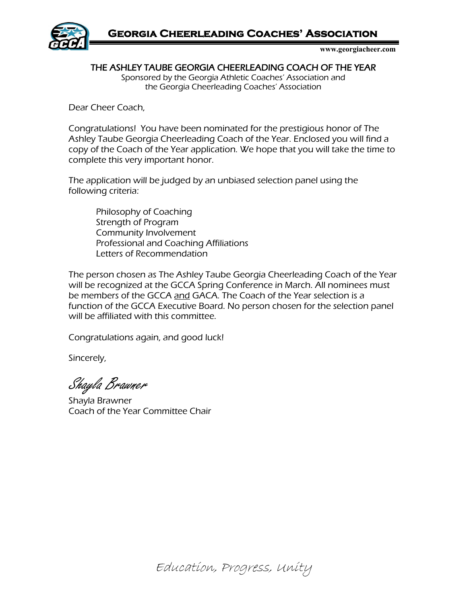**Georgia Cheerleading Coaches' Association** 



 **www.georgiacheer.com**

THE ASHLEY TAUBE GEORGIA CHEERLEADING COACH OF THE YEAR

Sponsored by the Georgia Athletic Coaches' Association and the Georgia Cheerleading Coaches' Association

Dear Cheer Coach,

Congratulations! You have been nominated for the prestigious honor of The Ashley Taube Georgia Cheerleading Coach of the Year. Enclosed you will find a copy of the Coach of the Year application. We hope that you will take the time to complete this very important honor.

The application will be judged by an unbiased selection panel using the following criteria:

Philosophy of Coaching Strength of Program Community Involvement Professional and Coaching Affiliations Letters of Recommendation

The person chosen as The Ashley Taube Georgia Cheerleading Coach of the Year will be recognized at the GCCA Spring Conference in March. All nominees must be members of the GCCA and GACA. The Coach of the Year selection is a function of the GCCA Executive Board. No person chosen for the selection panel will be affiliated with this committee.

Congratulations again, and good luck!

Sincerely,

Shayla Brawner

Shayla Brawner Coach of the Year Committee Chair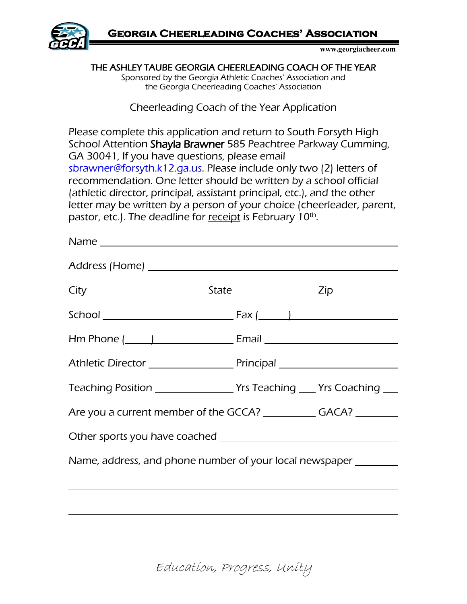

 **www.georgiacheer.com**

THE ASHLEY TAUBE GEORGIA CHEERLEADING COACH OF THE YEAR Sponsored by the Georgia Athletic Coaches' Association and the Georgia Cheerleading Coaches' Association

Cheerleading Coach of the Year Application

Please complete this application and return to South Forsyth High School Attention Shayla Brawner 585 Peachtree Parkway Cumming, GA 30041, If you have questions, please email [sbrawner@forsyth.k12.ga.us.](mailto:sbrawner@forsyth.k12.ga.us) Please include only two (2) letters of recommendation. One letter should be written by a school official (athletic director, principal, assistant principal, etc.), and the other letter may be written by a person of your choice (cheerleader, parent, pastor, etc.). The deadline for receipt is February 10<sup>th</sup>.

| Name |                                                                                   |
|------|-----------------------------------------------------------------------------------|
|      |                                                                                   |
|      |                                                                                   |
|      |                                                                                   |
|      | Hm Phone (______)_____________________________Email _____________________________ |
|      |                                                                                   |
|      | Teaching Position ___________________Yrs Teaching ____ Yrs Coaching ____          |
|      | Are you a current member of the GCCA? ______________ GACA? _________              |
|      |                                                                                   |
|      | Name, address, and phone number of your local newspaper ________                  |
|      |                                                                                   |
|      |                                                                                   |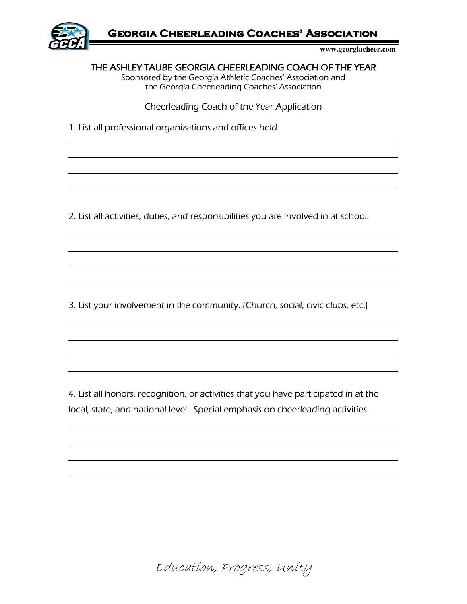

 **www.georgiacheer.com**

THE ASHLEY TAUBE GEORGIA CHEERLEADING COACH OF THE YEAR

Sponsored by the Georgia Athletic Coaches' Association and the Georgia Cheerleading Coaches' Association

Cheerleading Coach of the Year Application

1. List all professional organizations and offices held.

 $\overline{a}$ 

 $\overline{a}$ 

 $\overline{a}$ 

 $\overline{a}$ 

 $\overline{a}$ 

 $\overline{a}$ 

 $\overline{a}$ 

 $\overline{a}$ 

2. List all activities, duties, and responsibilities you are involved in at school.

3. List your involvement in the community. (Church, social, civic clubs, etc.)

4. List all honors, recognition, or activities that you have participated in at the local, state, and national level. Special emphasis on cheerleading activities.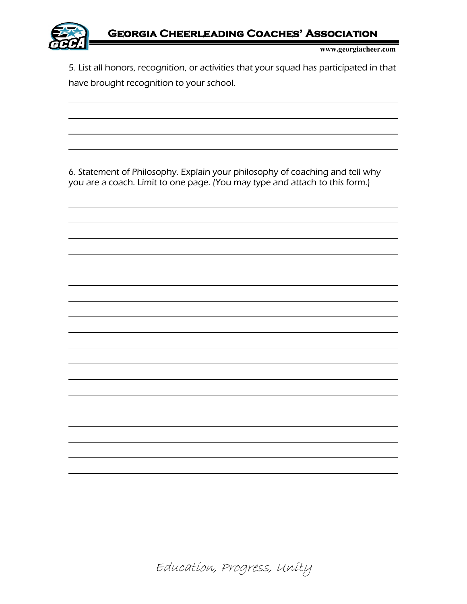

 $\overline{a}$ 

 $\overline{a}$ 

 $\overline{a}$ 

 $\overline{a}$ 

 $\overline{a}$ 

 $\overline{a}$ 

 $\overline{a}$ 

 **www.georgiacheer.com**

5. List all honors, recognition, or activities that your squad has participated in that have brought recognition to your school.

6. Statement of Philosophy. Explain your philosophy of coaching and tell why you are a coach. Limit to one page. (You may type and attach to this form.)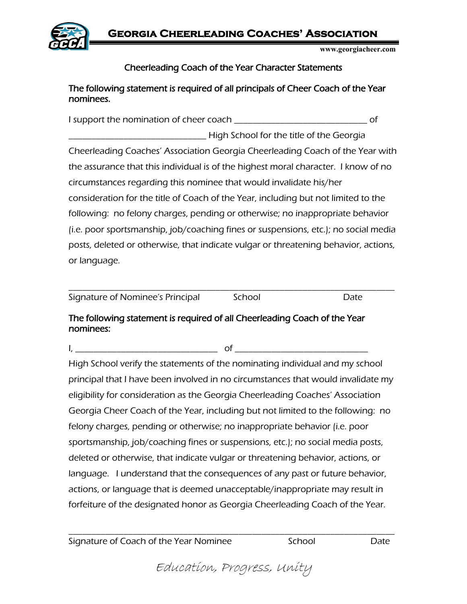**Georgia Cheerleading Coaches' Association** 



 **www.georgiacheer.com**

## Cheerleading Coach of the Year Character Statements

## The following statement is required of all principals of Cheer Coach of the Year nominees.

I support the nomination of cheer coach \_\_\_\_\_\_\_\_\_\_\_\_\_\_\_\_\_\_\_\_\_\_\_\_\_\_\_\_\_ of

\_\_\_\_\_\_\_\_\_\_\_\_\_\_\_\_\_\_\_\_\_\_\_\_\_\_\_\_\_\_ High School for the title of the Georgia Cheerleading Coaches' Association Georgia Cheerleading Coach of the Year with the assurance that this individual is of the highest moral character. I know of no circumstances regarding this nominee that would invalidate his/her consideration for the title of Coach of the Year, including but not limited to the following: no felony charges, pending or otherwise; no inappropriate behavior (i.e. poor sportsmanship, job/coaching fines or suspensions, etc.); no social media posts, deleted or otherwise, that indicate vulgar or threatening behavior, actions, or language.

| Signature of Nominee's Principal | School |  |
|----------------------------------|--------|--|

## The following statement is required of all Cheerleading Coach of the Year nominees:

I, \_\_\_\_\_\_\_\_\_\_\_\_\_\_\_\_\_\_\_\_\_\_\_\_\_\_\_\_\_\_\_ of \_\_\_\_\_\_\_\_\_\_\_\_\_\_\_\_\_\_\_\_\_\_\_\_\_\_\_\_\_

High School verify the statements of the nominating individual and my school principal that I have been involved in no circumstances that would invalidate my eligibility for consideration as the Georgia Cheerleading Coaches' Association Georgia Cheer Coach of the Year, including but not limited to the following: no felony charges, pending or otherwise; no inappropriate behavior (i.e. poor sportsmanship, job/coaching fines or suspensions, etc.); no social media posts, deleted or otherwise, that indicate vulgar or threatening behavior, actions, or language. I understand that the consequences of any past or future behavior, actions, or language that is deemed unacceptable/inappropriate may result in forfeiture of the designated honor as Georgia Cheerleading Coach of the Year.

Signature of Coach of the Year Nominee School Date

Education, Progress, Unity

\_\_\_\_\_\_\_\_\_\_\_\_\_\_\_\_\_\_\_\_\_\_\_\_\_\_\_\_\_\_\_\_\_\_\_\_\_\_\_\_\_\_\_\_\_\_\_\_\_\_\_\_\_\_\_\_\_\_\_\_\_\_\_\_\_\_\_\_\_\_\_